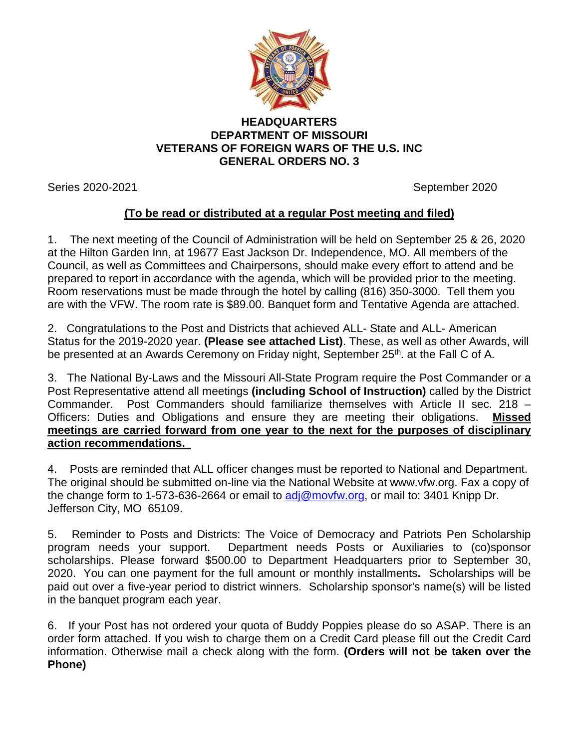

## **HEADQUARTERS DEPARTMENT OF MISSOURI VETERANS OF FOREIGN WARS OF THE U.S. INC GENERAL ORDERS NO. 3**

Series 2020-2021 September 2020

## **(To be read or distributed at a regular Post meeting and filed)**

1. The next meeting of the Council of Administration will be held on September 25 & 26, 2020 at the Hilton Garden Inn, at 19677 East Jackson Dr. Independence, MO. All members of the Council, as well as Committees and Chairpersons, should make every effort to attend and be prepared to report in accordance with the agenda, which will be provided prior to the meeting. Room reservations must be made through the hotel by calling (816) 350-3000. Tell them you are with the VFW. The room rate is \$89.00. Banquet form and Tentative Agenda are attached.

2. Congratulations to the Post and Districts that achieved ALL- State and ALL- American Status for the 2019-2020 year. **(Please see attached List)**. These, as well as other Awards, will be presented at an Awards Ceremony on Friday night, September 25<sup>th</sup>. at the Fall C of A.

3. The National By-Laws and the Missouri All-State Program require the Post Commander or a Post Representative attend all meetings **(including School of Instruction)** called by the District Commander. Post Commanders should familiarize themselves with Article II sec. 218 – Officers: Duties and Obligations and ensure they are meeting their obligations. **Missed meetings are carried forward from one year to the next for the purposes of disciplinary action recommendations.** 

4. Posts are reminded that ALL officer changes must be reported to National and Department. The original should be submitted on-line via the National Website at www.vfw.org. Fax a copy of the change form to 1-573-636-2664 or email to [adj@movfw.org,](mailto:adj@movfw.org) or mail to: 3401 Knipp Dr. Jefferson City, MO 65109.

5. Reminder to Posts and Districts: The Voice of Democracy and Patriots Pen Scholarship program needs your support. Department needs Posts or Auxiliaries to (co)sponsor scholarships. Please forward \$500.00 to Department Headquarters prior to September 30, 2020. You can one payment for the full amount or monthly installments**.** Scholarships will be paid out over a five-year period to district winners. Scholarship sponsor's name(s) will be listed in the banquet program each year.

6. If your Post has not ordered your quota of Buddy Poppies please do so ASAP. There is an order form attached. If you wish to charge them on a Credit Card please fill out the Credit Card information. Otherwise mail a check along with the form. **(Orders will not be taken over the Phone)**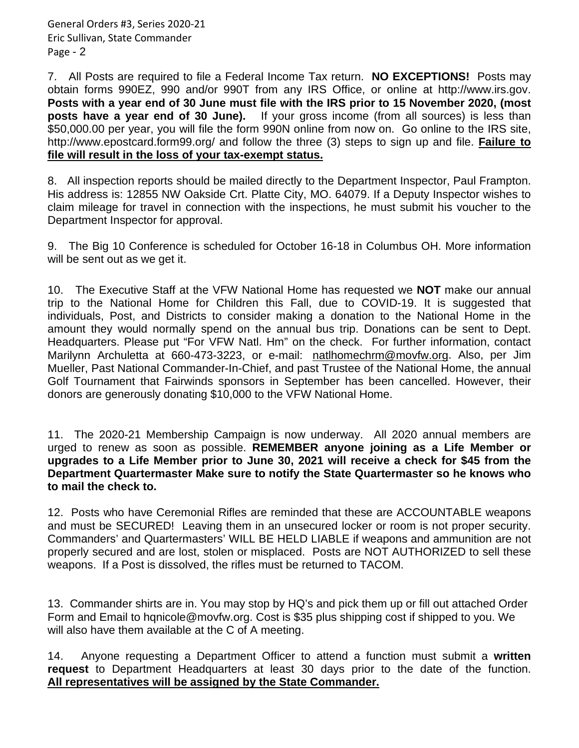7. All Posts are required to file a Federal Income Tax return. **NO EXCEPTIONS!** Posts may obtain forms 990EZ, 990 and/or 990T from any IRS Office, or online at http://www.irs.gov. **Posts with a year end of 30 June must file with the IRS prior to 15 November 2020, (most posts have a year end of 30 June).** If your gross income (from all sources) is less than \$50,000.00 per year, you will file the form 990N online from now on. Go online to the IRS site, http://www.epostcard.form99.org/ and follow the three (3) steps to sign up and file. **Failure to file will result in the loss of your tax-exempt status.**

8. All inspection reports should be mailed directly to the Department Inspector, Paul Frampton. His address is: 12855 NW Oakside Crt. Platte City, MO. 64079. If a Deputy Inspector wishes to claim mileage for travel in connection with the inspections, he must submit his voucher to the Department Inspector for approval.

9. The Big 10 Conference is scheduled for October 16-18 in Columbus OH. More information will be sent out as we get it.

10. The Executive Staff at the VFW National Home has requested we **NOT** make our annual trip to the National Home for Children this Fall, due to COVID-19. It is suggested that individuals, Post, and Districts to consider making a donation to the National Home in the amount they would normally spend on the annual bus trip. Donations can be sent to Dept. Headquarters. Please put "For VFW Natl. Hm" on the check. For further information, contact Marilynn Archuletta at 660-473-3223, or e-mail: [natlhomechrm@movfw.org.](mailto:natlhomechrm@movfw.org) Also, per Jim Mueller, Past National Commander-In-Chief, and past Trustee of the National Home, the annual Golf Tournament that Fairwinds sponsors in September has been cancelled. However, their donors are generously donating \$10,000 to the VFW National Home.

11. The 2020-21 Membership Campaign is now underway. All 2020 annual members are urged to renew as soon as possible. **REMEMBER anyone joining as a Life Member or upgrades to a Life Member prior to June 30, 2021 will receive a check for \$45 from the Department Quartermaster Make sure to notify the State Quartermaster so he knows who to mail the check to.**

12. Posts who have Ceremonial Rifles are reminded that these are ACCOUNTABLE weapons and must be SECURED! Leaving them in an unsecured locker or room is not proper security. Commanders' and Quartermasters' WILL BE HELD LIABLE if weapons and ammunition are not properly secured and are lost, stolen or misplaced. Posts are NOT AUTHORIZED to sell these weapons. If a Post is dissolved, the rifles must be returned to TACOM.

13. Commander shirts are in. You may stop by HQ's and pick them up or fill out attached Order Form and Email to hqnicole@movfw.org. Cost is \$35 plus shipping cost if shipped to you. We will also have them available at the C of A meeting.

14. Anyone requesting a Department Officer to attend a function must submit a **written request** to Department Headquarters at least 30 days prior to the date of the function. **All representatives will be assigned by the State Commander.**